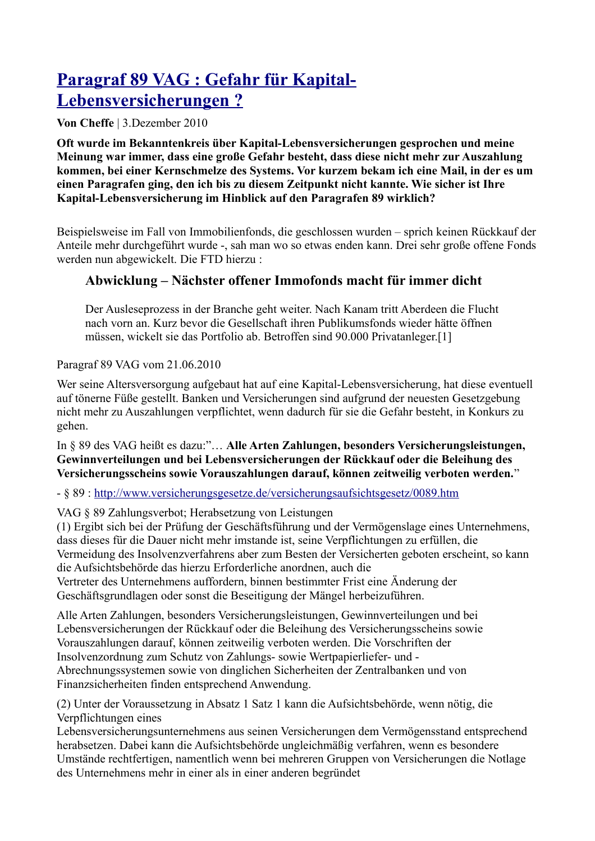## Paragraf 89 VAG : Gefahr für Kapital-Lebensversicherungen?

Von Cheffe | 3.Dezember 2010

Oft wurde im Bekanntenkreis über Kapital-Lebensversicherungen gesprochen und meine Meinung war immer, dass eine große Gefahr besteht, dass diese nicht mehr zur Auszahlung kommen, bei einer Kernschmelze des Systems. Vor kurzem bekam ich eine Mail, in der es um einen Paragrafen ging, den ich bis zu diesem Zeitpunkt nicht kannte. Wie sicher ist Ihre Kapital-Lebensversicherung im Hinblick auf den Paragrafen 89 wirklich?

Beispielsweise im Fall von Immobilienfonds, die geschlossen wurden – sprich keinen Rückkauf der Anteile mehr durchgeführt wurde -, sah man wo so etwas enden kann. Drei sehr große offene Fonds werden nun abgewickelt. Die FTD hierzu:

## Abwicklung – Nächster offener Immofonds macht für immer dicht

Der Ausleseprozess in der Branche geht weiter. Nach Kanam tritt Aberdeen die Flucht nach vorn an. Kurz bevor die Gesellschaft ihren Publikumsfonds wieder hätte öffnen müssen, wickelt sie das Portfolio ab. Betroffen sind 90.000 Privatanleger.[1]

Paragraf 89 VAG vom 21.06.2010

Wer seine Altersversorgung aufgebaut hat auf eine Kapital-Lebensversicherung, hat diese eventuell auf tönerne Füße gestellt. Banken und Versicherungen sind aufgrund der neuesten Gesetzgebung nicht mehr zu Auszahlungen verpflichtet, wenn dadurch für sie die Gefahr besteht, in Konkurs zu gehen.

In § 89 des VAG heißt es dazu:"... Alle Arten Zahlungen, besonders Versicherungsleistungen, Gewinnverteilungen und bei Lebensversicherungen der Rückkauf oder die Beleihung des Versicherungsscheins sowie Vorauszahlungen darauf, können zeitweilig verboten werden."

- § 89 : http://www.versicherungsgesetze.de/versicherungsaufsichtsgesetz/0089.htm

VAG § 89 Zahlungsverbot: Herabsetzung von Leistungen

(1) Ergibt sich bei der Prüfung der Geschäftsführung und der Vermögenslage eines Unternehmens, dass dieses für die Dauer nicht mehr imstande ist, seine Verpflichtungen zu erfüllen, die Vermeidung des Insolvenzverfahrens aber zum Besten der Versicherten geboten erscheint, so kann die Aufsichtsbehörde das hierzu Erforderliche anordnen, auch die Vertreter des Unternehmens auffordern, binnen bestimmter Frist eine Änderung der Geschäftsgrundlagen oder sonst die Beseitigung der Mängel herbeizuführen.

Alle Arten Zahlungen, besonders Versicherungsleistungen, Gewinnverteilungen und bei Lebensversicherungen der Rückkauf oder die Beleihung des Versicherungsscheins sowie Vorauszahlungen darauf, können zeitweilig verboten werden. Die Vorschriften der Insolvenzordnung zum Schutz von Zahlungs- sowie Wertpapierliefer- und -Abrechnungssystemen sowie von dinglichen Sicherheiten der Zentralbanken und von Finanzsicherheiten finden entsprechend Anwendung.

(2) Unter der Voraussetzung in Absatz 1 Satz 1 kann die Aufsichtsbehörde, wenn nötig, die Verpflichtungen eines

Lebensversicherungsunternehmens aus seinen Versicherungen dem Vermögensstand entsprechend herabsetzen. Dabei kann die Aufsichtsbehörde ungleichmäßig verfahren, wenn es besondere Umstände rechtfertigen, namentlich wenn bei mehreren Gruppen von Versicherungen die Notlage des Unternehmens mehr in einer als in einer anderen begründet